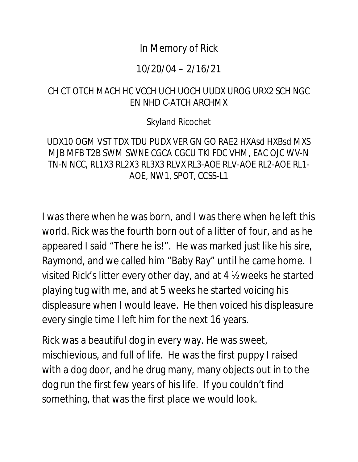# In Memory of Rick

## 10/20/04 – 2/16/21

# CH CT OTCH MACH HC VCCH UCH UOCH UUDX UROG URX2 SCH NGC EN NHD C-ATCH ARCHMX

#### Skyland Ricochet

## UDX10 OGM VST TDX TDU PUDX VER GN GO RAE2 HXAsd HXBsd MXS MJB MFB T2B SWM SWNE CGCA CGCU TKI FDC VHM, EAC OJC WV-N TN-N NCC, RL1X3 RL2X3 RL3X3 RLVX RL3-AOE RLV-AOE RL2-AOE RL1- AOE, NW1, SPOT, CCSS-L1

I was there when he was born, and I was there when he left this world. Rick was the fourth born out of a litter of four, and as he appeared I said "There he is!". He was marked just like his sire, Raymond, and we called him "Baby Ray" until he came home. I visited Rick's litter every other day, and at 4 ½ weeks he started playing tug with me, and at 5 weeks he started voicing his displeasure when I would leave. He then voiced his displeasure every single time I left him for the next 16 years.

Rick was a beautiful dog in every way. He was sweet, mischievious, and full of life. He was the first puppy I raised with a dog door, and he drug many, many objects out in to the dog run the first few years of his life. If you couldn't find something, that was the first place we would look.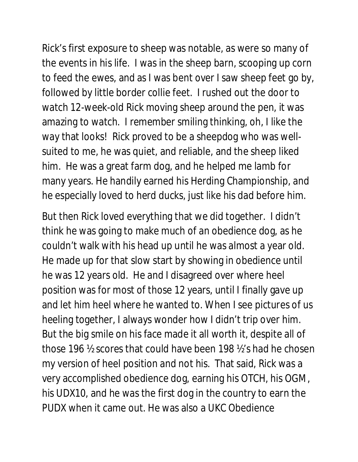Rick's first exposure to sheep was notable, as were so many of the events in his life. I was in the sheep barn, scooping up corn to feed the ewes, and as I was bent over I saw sheep feet go by, followed by little border collie feet. I rushed out the door to watch 12-week-old Rick moving sheep around the pen, it was amazing to watch. I remember smiling thinking, oh, I like the way that looks! Rick proved to be a sheepdog who was wellsuited to me, he was quiet, and reliable, and the sheep liked him. He was a great farm dog, and he helped me lamb for many years. He handily earned his Herding Championship, and he especially loved to herd ducks, just like his dad before him.

But then Rick loved everything that we did together. I didn't think he was going to make much of an obedience dog, as he couldn't walk with his head up until he was almost a year old. He made up for that slow start by showing in obedience until he was 12 years old. He and I disagreed over where heel position was for most of those 12 years, until I finally gave up and let him heel where he wanted to. When I see pictures of us heeling together, I always wonder how I didn't trip over him. But the big smile on his face made it all worth it, despite all of those 196 ½ scores that could have been 198 ½'s had he chosen my version of heel position and not his. That said, Rick was a very accomplished obedience dog, earning his OTCH, his OGM, his UDX10, and he was the first dog in the country to earn the PUDX when it came out. He was also a UKC Obedience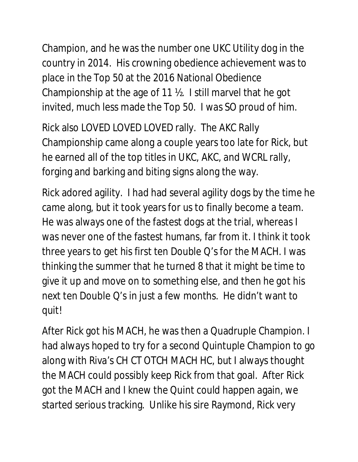Champion, and he was the number one UKC Utility dog in the country in 2014. His crowning obedience achievement was to place in the Top 50 at the 2016 National Obedience Championship at the age of 11 ½. I still marvel that he got invited, much less made the Top 50. I was SO proud of him.

Rick also LOVED LOVED LOVED rally. The AKC Rally Championship came along a couple years too late for Rick, but he earned all of the top titles in UKC, AKC, and WCRL rally, forging and barking and biting signs along the way.

Rick adored agility. I had had several agility dogs by the time he came along, but it took years for us to finally become a team. He was always one of the fastest dogs at the trial, whereas I was never one of the fastest humans, far from it. I think it took three years to get his first ten Double Q's for the MACH. I was thinking the summer that he turned 8 that it might be time to give it up and move on to something else, and then he got his next ten Double Q's in just a few months. He didn't want to quit!

After Rick got his MACH, he was then a Quadruple Champion. I had always hoped to try for a second Quintuple Champion to go along with Riva's CH CT OTCH MACH HC, but I always thought the MACH could possibly keep Rick from that goal. After Rick got the MACH and I knew the Quint could happen again, we started serious tracking. Unlike his sire Raymond, Rick very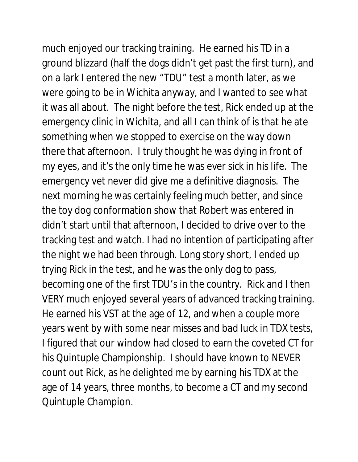much enjoyed our tracking training. He earned his TD in a ground blizzard (half the dogs didn't get past the first turn), and on a lark I entered the new "TDU" test a month later, as we were going to be in Wichita anyway, and I wanted to see what it was all about. The night before the test, Rick ended up at the emergency clinic in Wichita, and all I can think of is that he ate something when we stopped to exercise on the way down there that afternoon. I truly thought he was dying in front of my eyes, and it's the only time he was ever sick in his life. The emergency vet never did give me a definitive diagnosis. The next morning he was certainly feeling much better, and since the toy dog conformation show that Robert was entered in didn't start until that afternoon, I decided to drive over to the tracking test and watch. I had no intention of participating after the night we had been through. Long story short, I ended up trying Rick in the test, and he was the only dog to pass, becoming one of the first TDU's in the country. Rick and I then VERY much enjoyed several years of advanced tracking training. He earned his VST at the age of 12, and when a couple more years went by with some near misses and bad luck in TDX tests, I figured that our window had closed to earn the coveted CT for his Quintuple Championship. I should have known to NEVER count out Rick, as he delighted me by earning his TDX at the age of 14 years, three months, to become a CT and my second Quintuple Champion.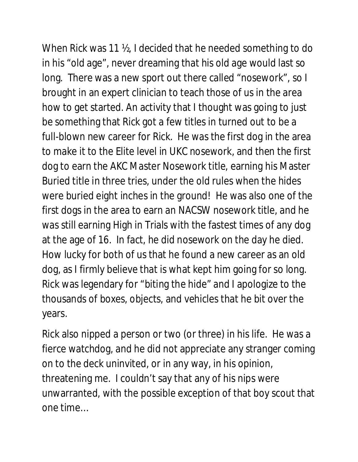When Rick was 11 ½, I decided that he needed something to do in his "old age", never dreaming that his old age would last so long. There was a new sport out there called "nosework", so I brought in an expert clinician to teach those of us in the area how to get started. An activity that I thought was going to just be something that Rick got a few titles in turned out to be a full-blown new career for Rick. He was the first dog in the area to make it to the Elite level in UKC nosework, and then the first dog to earn the AKC Master Nosework title, earning his Master Buried title in three tries, under the old rules when the hides were buried eight inches in the ground! He was also one of the first dogs in the area to earn an NACSW nosework title, and he was still earning High in Trials with the fastest times of any dog at the age of 16. In fact, he did nosework on the day he died. How lucky for both of us that he found a new career as an old dog, as I firmly believe that is what kept him going for so long. Rick was legendary for "biting the hide" and I apologize to the thousands of boxes, objects, and vehicles that he bit over the years.

Rick also nipped a person or two (or three) in his life. He was a fierce watchdog, and he did not appreciate any stranger coming on to the deck uninvited, or in any way, in his opinion, threatening me. I couldn't say that any of his nips were unwarranted, with the possible exception of that boy scout that one time…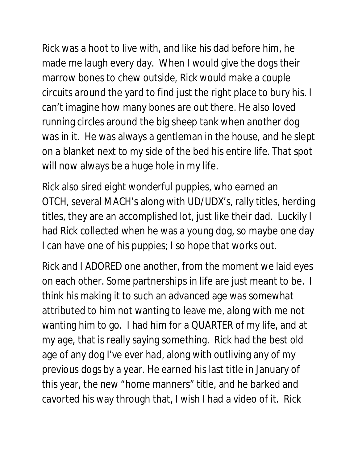Rick was a hoot to live with, and like his dad before him, he made me laugh every day. When I would give the dogs their marrow bones to chew outside, Rick would make a couple circuits around the yard to find just the right place to bury his. I can't imagine how many bones are out there. He also loved running circles around the big sheep tank when another dog was in it. He was always a gentleman in the house, and he slept on a blanket next to my side of the bed his entire life. That spot will now always be a huge hole in my life.

Rick also sired eight wonderful puppies, who earned an OTCH, several MACH's along with UD/UDX's, rally titles, herding titles, they are an accomplished lot, just like their dad. Luckily I had Rick collected when he was a young dog, so maybe one day I can have one of his puppies; I so hope that works out.

Rick and I ADORED one another, from the moment we laid eyes on each other. Some partnerships in life are just meant to be. I think his making it to such an advanced age was somewhat attributed to him not wanting to leave me, along with me not wanting him to go. I had him for a QUARTER of my life, and at my age, that is really saying something. Rick had the best old age of any dog I've ever had, along with outliving any of my previous dogs by a year. He earned his last title in January of this year, the new "home manners" title, and he barked and cavorted his way through that, I wish I had a video of it. Rick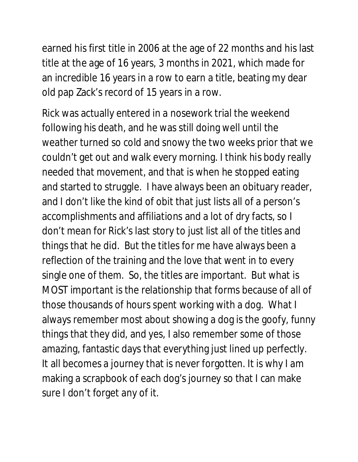earned his first title in 2006 at the age of 22 months and his last title at the age of 16 years, 3 months in 2021, which made for an incredible 16 years in a row to earn a title, beating my dear old pap Zack's record of 15 years in a row.

Rick was actually entered in a nosework trial the weekend following his death, and he was still doing well until the weather turned so cold and snowy the two weeks prior that we couldn't get out and walk every morning. I think his body really needed that movement, and that is when he stopped eating and started to struggle. I have always been an obituary reader, and I don't like the kind of obit that just lists all of a person's accomplishments and affiliations and a lot of dry facts, so I don't mean for Rick's last story to just list all of the titles and things that he did. But the titles for me have always been a reflection of the training and the love that went in to every single one of them. So, the titles are important. But what is MOST important is the relationship that forms because of all of those thousands of hours spent working with a dog. What I always remember most about showing a dog is the goofy, funny things that they did, and yes, I also remember some of those amazing, fantastic days that everything just lined up perfectly. It all becomes a journey that is never forgotten. It is why I am making a scrapbook of each dog's journey so that I can make sure I don't forget any of it.